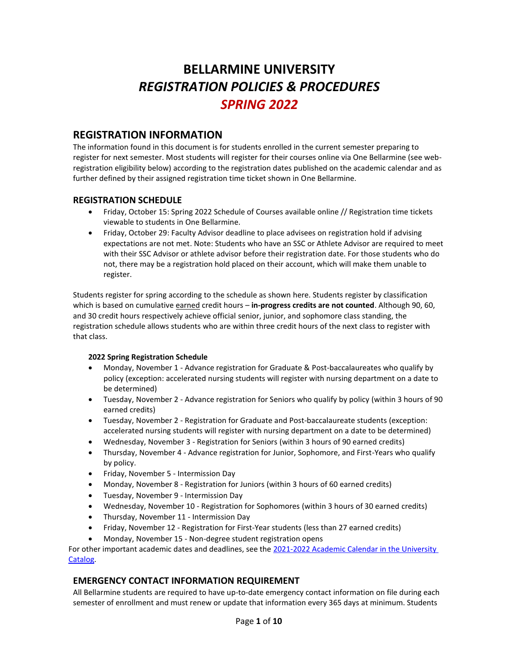# **BELLARMINE UNIVERSITY** *REGISTRATION POLICIES & PROCEDURES SPRING 2022*

# **REGISTRATION INFORMATION**

The information found in this document is for students enrolled in the current semester preparing to register for next semester. Most students will register for their courses online via One Bellarmine (see webregistration eligibility below) according to the registration dates published on the academic calendar and as further defined by their assigned registration time ticket shown in One Bellarmine.

# **REGISTRATION SCHEDULE**

- Friday, October 15: Spring 2022 Schedule of Courses available online // Registration time tickets viewable to students in One Bellarmine.
- Friday, October 29: Faculty Advisor deadline to place advisees on registration hold if advising expectations are not met. Note: Students who have an SSC or Athlete Advisor are required to meet with their SSC Advisor or athlete advisor before their registration date. For those students who do not, there may be a registration hold placed on their account, which will make them unable to register.

Students register for spring according to the schedule as shown here. Students register by classification which is based on cumulative earned credit hours – **in-progress credits are not counted**. Although 90, 60, and 30 credit hours respectively achieve official senior, junior, and sophomore class standing, the registration schedule allows students who are within three credit hours of the next class to register with that class.

#### **2022 Spring Registration Schedule**

- Monday, November 1 Advance registration for Graduate & Post-baccalaureates who qualify by policy (exception: accelerated nursing students will register with nursing department on a date to be determined)
- Tuesday, November 2 Advance registration for Seniors who qualify by policy (within 3 hours of 90 earned credits)
- Tuesday, November 2 Registration for Graduate and Post-baccalaureate students (exception: accelerated nursing students will register with nursing department on a date to be determined)
- Wednesday, November 3 Registration for Seniors (within 3 hours of 90 earned credits)
- Thursday, November 4 Advance registration for Junior, Sophomore, and First-Years who qualify by policy.
- Friday, November 5 Intermission Day
- Monday, November 8 Registration for Juniors (within 3 hours of 60 earned credits)
- Tuesday, November 9 Intermission Day
- Wednesday, November 10 Registration for Sophomores (within 3 hours of 30 earned credits)
- Thursday, November 11 Intermission Day
- Friday, November 12 Registration for First-Year students (less than 27 earned credits)
- Monday, November 15 Non-degree student registration opens

For other important academic dates and deadlines, see the [2021-2022 Academic Calendar in the University](https://catalog.bellarmine.edu/2021-2022/academic-calendar)  [Catalog.](https://catalog.bellarmine.edu/2021-2022/academic-calendar)

# **EMERGENCY CONTACT INFORMATION REQUIREMENT**

All Bellarmine students are required to have up-to-date emergency contact information on file during each semester of enrollment and must renew or update that information every 365 days at minimum. Students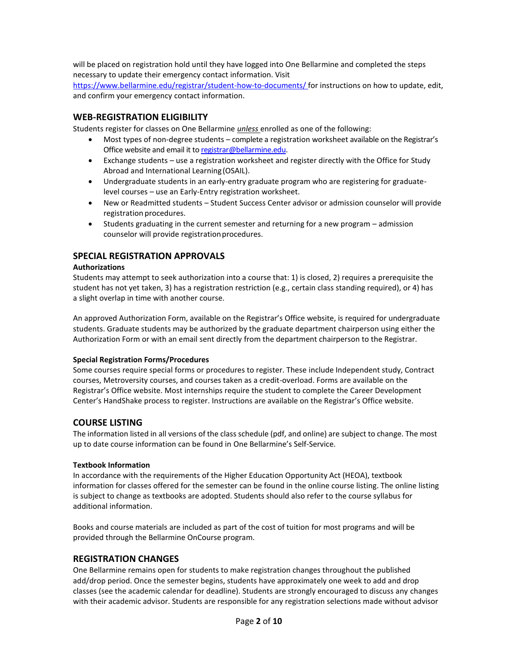will be placed on registration hold until they have logged into One Bellarmine and completed the steps necessary to update their emergency contact information. Visit

[https://www.bellarmine.edu/registrar/student-how-to-documents/ f](https://www.bellarmine.edu/registrar/student-how-to-documents/)or instructions on how to update, edit, and confirm your emergency contact information.

### **WEB-REGISTRATION ELIGIBILITY**

Students register for classes on One Bellarmine *unless* enrolled as one of the following:

- Most types of non-degree students complete a registration worksheet available on the Registrar's Office website and email it to [registrar@bellarmine.edu.](mailto:registrar@bellarmine.edu)
- Exchange students use a registration worksheet and register directly with the Office for Study Abroad and International Learning (OSAIL).
- Undergraduate students in an early-entry graduate program who are registering for graduatelevel courses – use an Early-Entry registration worksheet.
- New or Readmitted students Student Success Center advisor or admission counselor will provide registration procedures.
- Students graduating in the current semester and returning for a new program admission counselor will provide registration procedures.

# **SPECIAL REGISTRATION APPROVALS**

#### **Authorizations**

Students may attempt to seek authorization into a course that: 1) is closed, 2) requires a prerequisite the student has not yet taken, 3) has a registration restriction (e.g., certain class standing required), or 4) has a slight overlap in time with another course.

An approved Authorization Form, available on the Registrar's Office website, is required for undergraduate students. Graduate students may be authorized by the graduate department chairperson using either the Authorization Form or with an email sent directly from the department chairperson to the Registrar.

#### **Special Registration Forms/Procedures**

Some courses require special forms or procedures to register. These include Independent study, Contract courses, Metroversity courses, and courses taken as a credit-overload. Forms are available on the Registrar's Office website. Most internships require the student to complete the Career Development Center's HandShake process to register. Instructions are available on the Registrar's Office website.

#### **COURSE LISTING**

The information listed in all versions of the class schedule (pdf, and online) are subject to change. The most up to date course information can be found in One Bellarmine's Self-Service.

#### **Textbook Information**

In accordance with the requirements of the Higher Education Opportunity Act (HEOA), textbook information for classes offered for the semester can be found in the online course listing. The online listing is subject to change as textbooks are adopted. Students should also refer to the course syllabus for additional information.

Books and course materials are included as part of the cost of tuition for most programs and will be provided through the Bellarmine OnCourse program.

#### **REGISTRATION CHANGES**

One Bellarmine remains open for students to make registration changes throughout the published add/drop period. Once the semester begins, students have approximately one week to add and drop classes (see the academic calendar for deadline). Students are strongly encouraged to discuss any changes with their academic advisor. Students are responsible for any registration selections made without advisor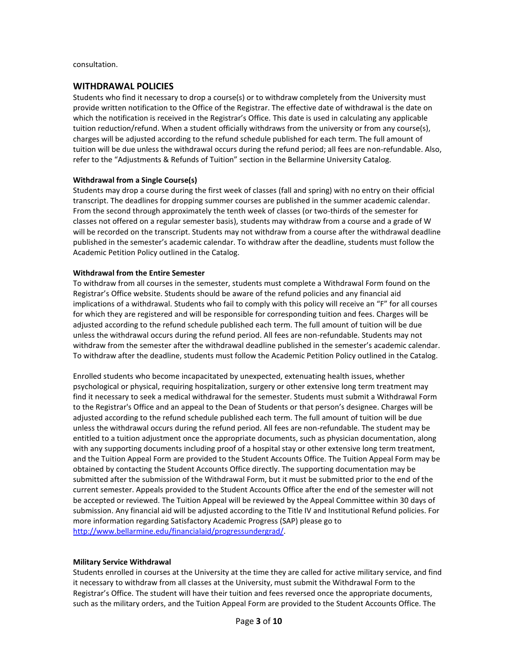consultation.

#### **WITHDRAWAL POLICIES**

Students who find it necessary to drop a course(s) or to withdraw completely from the University must provide written notification to the Office of the Registrar. The effective date of withdrawal is the date on which the notification is received in the Registrar's Office. This date is used in calculating any applicable tuition reduction/refund. When a student officially withdraws from the university or from any course(s), charges will be adjusted according to the refund schedule published for each term. The full amount of tuition will be due unless the withdrawal occurs during the refund period; all fees are non-refundable. Also, refer to the "Adjustments & Refunds of Tuition" section in the Bellarmine University Catalog.

#### **Withdrawal from a Single Course(s)**

Students may drop a course during the first week of classes (fall and spring) with no entry on their official transcript. The deadlines for dropping summer courses are published in the summer academic calendar. From the second through approximately the tenth week of classes (or two-thirds of the semester for classes not offered on a regular semester basis), students may withdraw from a course and a grade of W will be recorded on the transcript. Students may not withdraw from a course after the withdrawal deadline published in the semester's academic calendar. To withdraw after the deadline, students must follow the Academic Petition Policy outlined in the Catalog.

#### **Withdrawal from the Entire Semester**

To withdraw from all courses in the semester, students must complete a Withdrawal Form found on the Registrar's Office website. Students should be aware of the refund policies and any financial aid implications of a withdrawal. Students who fail to comply with this policy will receive an "F" for all courses for which they are registered and will be responsible for corresponding tuition and fees. Charges will be adjusted according to the refund schedule published each term. The full amount of tuition will be due unless the withdrawal occurs during the refund period. All fees are non-refundable. Students may not withdraw from the semester after the withdrawal deadline published in the semester's academic calendar. To withdraw after the deadline, students must follow the Academic Petition Policy outlined in the Catalog.

Enrolled students who become incapacitated by unexpected, extenuating health issues, whether psychological or physical, requiring hospitalization, surgery or other extensive long term treatment may find it necessary to seek a medical withdrawal for the semester. Students must submit a Withdrawal Form to the Registrar's Office and an appeal to the Dean of Students or that person's designee. Charges will be adjusted according to the refund schedule published each term. The full amount of tuition will be due unless the withdrawal occurs during the refund period. All fees are non-refundable. The student may be entitled to a tuition adjustment once the appropriate documents, such as physician documentation, along with any supporting documents including proof of a hospital stay or other extensive long term treatment, and the Tuition Appeal Form are provided to the Student Accounts Office. The Tuition Appeal Form may be obtained by contacting the Student Accounts Office directly. The supporting documentation may be submitted after the submission of the Withdrawal Form, but it must be submitted prior to the end of the current semester. Appeals provided to the Student Accounts Office after the end of the semester will not be accepted or reviewed. The Tuition Appeal will be reviewed by the Appeal Committee within 30 days of submission. Any financial aid will be adjusted according to the Title IV and Institutional Refund policies. For more information regarding Satisfactory Academic Progress (SAP) please go to [http://www.bellarmine.edu/financialaid/progressundergrad/.](http://www.bellarmine.edu/financialaid/progressundergrad/)

#### **Military Service Withdrawal**

Students enrolled in courses at the University at the time they are called for active military service, and find it necessary to withdraw from all classes at the University, must submit the Withdrawal Form to the Registrar's Office. The student will have their tuition and fees reversed once the appropriate documents, such as the military orders, and the Tuition Appeal Form are provided to the Student Accounts Office. The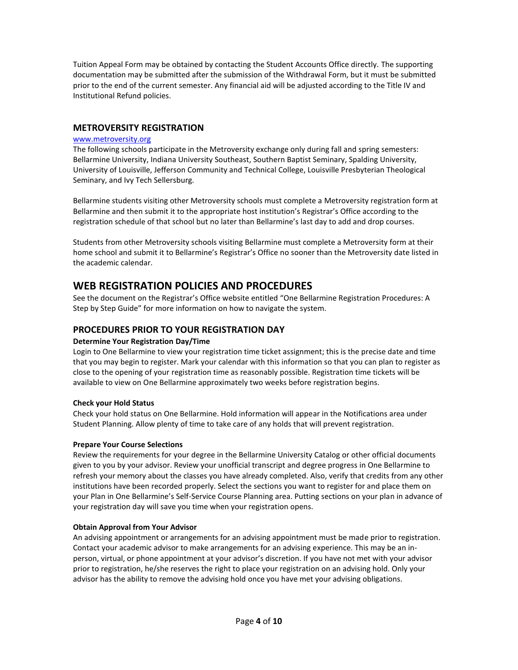Tuition Appeal Form may be obtained by contacting the Student Accounts Office directly. The supporting documentation may be submitted after the submission of the Withdrawal Form, but it must be submitted prior to the end of the current semester. Any financial aid will be adjusted according to the Title IV and Institutional Refund policies.

# **METROVERSITY REGISTRATION**

#### [www.metroversity.org](http://www.metroversity.org/)

The following schools participate in the Metroversity exchange only during fall and spring semesters: Bellarmine University, Indiana University Southeast, Southern Baptist Seminary, Spalding University, University of Louisville, Jefferson Community and Technical College, Louisville Presbyterian Theological Seminary, and Ivy Tech Sellersburg.

Bellarmine students visiting other Metroversity schools must complete a Metroversity registration form at Bellarmine and then submit it to the appropriate host institution's Registrar's Office according to the registration schedule of that school but no later than Bellarmine's last day to add and drop courses.

Students from other Metroversity schools visiting Bellarmine must complete a Metroversity form at their home school and submit it to Bellarmine's Registrar's Office no sooner than the Metroversity date listed in the academic calendar.

# **WEB REGISTRATION POLICIES AND PROCEDURES**

See the document on the Registrar's Office website entitled "One Bellarmine Registration Procedures: A Step by Step Guide" for more information on how to navigate the system.

# **PROCEDURES PRIOR TO YOUR REGISTRATION DAY**

#### **Determine Your Registration Day/Time**

Login to One Bellarmine to view your registration time ticket assignment; this is the precise date and time that you may begin to register. Mark your calendar with this information so that you can plan to register as close to the opening of your registration time as reasonably possible. Registration time tickets will be available to view on One Bellarmine approximately two weeks before registration begins.

# **Check your Hold Status**

Check your hold status on One Bellarmine. Hold information will appear in the Notifications area under Student Planning. Allow plenty of time to take care of any holds that will prevent registration.

#### **Prepare Your Course Selections**

Review the requirements for your degree in the Bellarmine University Catalog or other official documents given to you by your advisor. Review your unofficial transcript and degree progress in One Bellarmine to refresh your memory about the classes you have already completed. Also, verify that credits from any other institutions have been recorded properly. Select the sections you want to register for and place them on your Plan in One Bellarmine's Self-Service Course Planning area. Putting sections on your plan in advance of your registration day will save you time when your registration opens.

#### **Obtain Approval from Your Advisor**

An advising appointment or arrangements for an advising appointment must be made prior to registration. Contact your academic advisor to make arrangements for an advising experience. This may be an inperson, virtual, or phone appointment at your advisor's discretion. If you have not met with your advisor prior to registration, he/she reserves the right to place your registration on an advising hold. Only your advisor has the ability to remove the advising hold once you have met your advising obligations.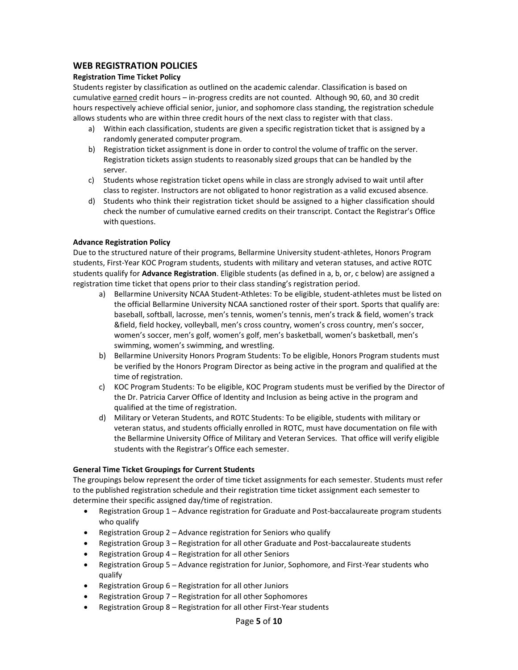# **WEB REGISTRATION POLICIES**

#### **Registration Time Ticket Policy**

Students register by classification as outlined on the academic calendar. Classification is based on cumulative earned credit hours - in-progress credits are not counted. Although 90, 60, and 30 credit hours respectively achieve official senior, junior, and sophomore class standing, the registration schedule allows students who are within three credit hours of the next class to register with that class.

- a) Within each classification, students are given a specific registration ticket that is assigned by a randomly generated computer program.
- b) Registration ticket assignment is done in order to control the volume of traffic on the server. Registration tickets assign students to reasonably sized groups that can be handled by the server.
- c) Students whose registration ticket opens while in class are strongly advised to wait until after class to register. Instructors are not obligated to honor registration as a valid excused absence.
- d) Students who think their registration ticket should be assigned to a higher classification should check the number of cumulative earned credits on their transcript. Contact the Registrar's Office with questions.

#### **Advance Registration Policy**

Due to the structured nature of their programs, Bellarmine University student-athletes, Honors Program students, First-Year KOC Program students, students with military and veteran statuses, and active ROTC students qualify for **Advance Registration**. Eligible students (as defined in a, b, or, c below) are assigned a registration time ticket that opens prior to their class standing's registration period.

- a) Bellarmine University NCAA Student-Athletes: To be eligible, student-athletes must be listed on the official Bellarmine University NCAA sanctioned roster of their sport. Sports that qualify are: baseball, softball, lacrosse, men's tennis, women's tennis, men's track & field, women's track &field, field hockey, volleyball, men's cross country, women's cross country, men's soccer, women's soccer, men's golf, women's golf, men's basketball, women's basketball, men's swimming, women's swimming, and wrestling.
- b) Bellarmine University Honors Program Students: To be eligible, Honors Program students must be verified by the Honors Program Director as being active in the program and qualified at the time of registration.
- c) KOC Program Students: To be eligible, KOC Program students must be verified by the Director of the Dr. Patricia Carver Office of Identity and Inclusion as being active in the program and qualified at the time of registration.
- d) Military or Veteran Students, and ROTC Students: To be eligible, students with military or veteran status, and students officially enrolled in ROTC, must have documentation on file with the Bellarmine University Office of Military and Veteran Services. That office will verify eligible students with the Registrar's Office each semester.

#### **General Time Ticket Groupings for Current Students**

The groupings below represent the order of time ticket assignments for each semester. Students must refer to the published registration schedule and their registration time ticket assignment each semester to determine their specific assigned day/time of registration.

- Registration Group 1 Advance registration for Graduate and Post-baccalaureate program students who qualify
- Registration Group 2 Advance registration for Seniors who qualify
- Registration Group 3 Registration for all other Graduate and Post-baccalaureate students
- Registration Group 4 Registration for all other Seniors
- Registration Group 5 Advance registration for Junior, Sophomore, and First-Year students who qualify
- Registration Group 6 Registration for all other Juniors
- Registration Group 7 Registration for all other Sophomores
- Registration Group 8 Registration for all other First-Year students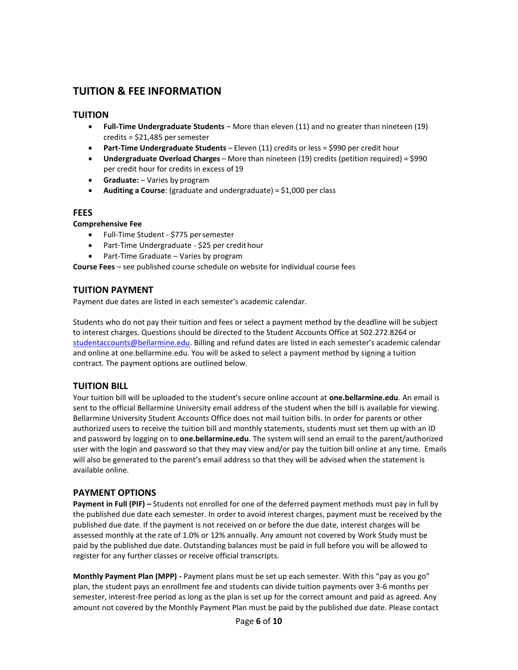# **TUITION & FEE INFORMATION**

# **TUITION**

- **Full-Time Undergraduate Students** More than eleven (11) and no greater than nineteen (19) credits =  $$21,485$  per semester
- **Part-Time Undergraduate Students** Eleven (11) credits or less = \$990 per credit hour
- **Undergraduate Overload Charges** More than nineteen (19) credits (petition required) = \$990 per credit hour for credits in excess of 19
- **Graduate:**  Varies by program
- **Auditing a Course**: (graduate and undergraduate) = \$1,000 per class

#### **FEES**

#### **Comprehensive Fee**

- Full-Time Student \$775 persemester
- Part-Time Undergraduate \$25 per credithour
- Part-Time Graduate Varies by program

**Course Fees** – see published course schedule on website for individual course fees

# **TUITION PAYMENT**

Payment due dates are listed in each semester's academic calendar.

Students who do not pay their tuition and fees or select a payment method by the deadline will be subject to interest charges. Questions should be directed to the Student Accounts Office at 502.272.8264 or [studentaccounts@bellarmine.edu.](mailto:bursar@bellarmine.edu) Billing and refund dates are listed in each semester's academic calendar and online at one.bellarmine.edu. You will be asked to select a payment method by signing a tuition contract. The payment options are outlined below.

# **TUITION BILL**

Your tuition bill will be uploaded to the student's secure online account at **one.bellarmine.edu**. An email is sent to the official Bellarmine University email address of the student when the bill is available for viewing. Bellarmine University Student Accounts Office does not mail tuition bills. In order for parents or other authorized users to receive the tuition bill and monthly statements, students must set them up with an ID and password by logging on to **one.bellarmine.edu**. The system will send an email to the parent/authorized user with the login and password so that they may view and/or pay the tuition bill online at any time. Emails will also be generated to the parent's email address so that they will be advised when the statement is available online.

# **PAYMENT OPTIONS**

**Payment in Full (PIF) –** Students not enrolled for one of the deferred payment methods must pay in full by the published due date each semester. In order to avoid interest charges, payment must be received by the published due date. If the payment is not received on or before the due date, interest charges will be assessed monthly at the rate of 1.0% or 12% annually. Any amount not covered by Work Study must be paid by the published due date. Outstanding balances must be paid in full before you will be allowed to register for any further classes or receive official transcripts.

**Monthly Payment Plan (MPP) -** Payment plans must be set up each semester. With this "pay as you go" plan, the student pays an enrollment fee and students can divide tuition payments over 3-6 months per semester, interest-free period as long as the plan is set up for the correct amount and paid as agreed. Any amount not covered by the Monthly Payment Plan must be paid by the published due date. Please contact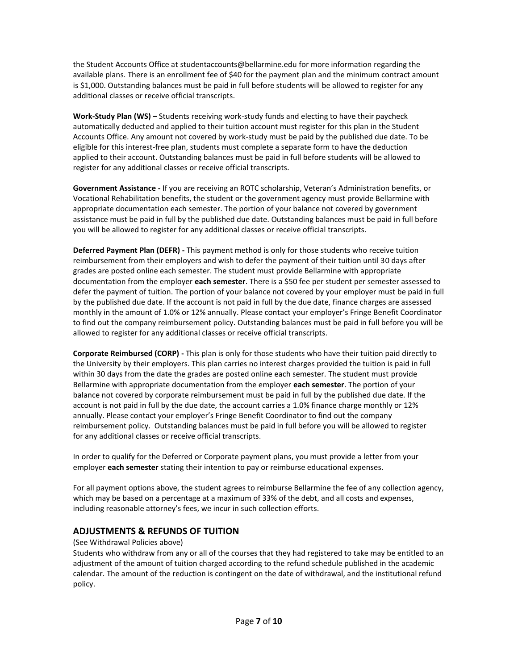the Student Accounts Office at [studentaccounts@bellarmine.edu](mailto:bursar@bellarmine.edu) for more information regarding the available plans. There is an enrollment fee of \$40 for the payment plan and the minimum contract amount is \$1,000. Outstanding balances must be paid in full before students will be allowed to register for any additional classes or receive official transcripts.

**Work-Study Plan (WS) –** Students receiving work-study funds and electing to have their paycheck automatically deducted and applied to their tuition account must register for this plan in the Student Accounts Office. Any amount not covered by work-study must be paid by the published due date. To be eligible for this interest-free plan, students must complete a separate form to have the deduction applied to their account. Outstanding balances must be paid in full before students will be allowed to register for any additional classes or receive official transcripts.

**Government Assistance -** If you are receiving an ROTC scholarship, Veteran's Administration benefits, or Vocational Rehabilitation benefits, the student or the government agency must provide Bellarmine with appropriate documentation each semester. The portion of your balance not covered by government assistance must be paid in full by the published due date. Outstanding balances must be paid in full before you will be allowed to register for any additional classes or receive official transcripts.

**Deferred Payment Plan (DEFR) -** This payment method is only for those students who receive tuition reimbursement from their employers and wish to defer the payment of their tuition until 30 days after grades are posted online each semester. The student must provide Bellarmine with appropriate documentation from the employer **each semester**. There is a \$50 fee per student per semester assessed to defer the payment of tuition. The portion of your balance not covered by your employer must be paid in full by the published due date. If the account is not paid in full by the due date, finance charges are assessed monthly in the amount of 1.0% or 12% annually. Please contact your employer's Fringe Benefit Coordinator to find out the company reimbursement policy. Outstanding balances must be paid in full before you will be allowed to register for any additional classes or receive official transcripts.

**Corporate Reimbursed (CORP) -** This plan is only for those students who have their tuition paid directly to the University by their employers. This plan carries no interest charges provided the tuition is paid in full within 30 days from the date the grades are posted online each semester. The student must provide Bellarmine with appropriate documentation from the employer **each semester**. The portion of your balance not covered by corporate reimbursement must be paid in full by the published due date. If the account is not paid in full by the due date, the account carries a 1.0% finance charge monthly or 12% annually. Please contact your employer's Fringe Benefit Coordinator to find out the company reimbursement policy. Outstanding balances must be paid in full before you will be allowed to register for any additional classes or receive official transcripts.

In order to qualify for the Deferred or Corporate payment plans, you must provide a letter from your employer **each semester** stating their intention to pay or reimburse educational expenses.

For all payment options above, the student agrees to reimburse Bellarmine the fee of any collection agency, which may be based on a percentage at a maximum of 33% of the debt, and all costs and expenses, including reasonable attorney's fees, we incur in such collection efforts.

# **ADJUSTMENTS & REFUNDS OF TUITION**

(See Withdrawal Policies above)

Students who withdraw from any or all of the courses that they had registered to take may be entitled to an adjustment of the amount of tuition charged according to the refund schedule published in the academic calendar. The amount of the reduction is contingent on the date of withdrawal, and the institutional refund policy.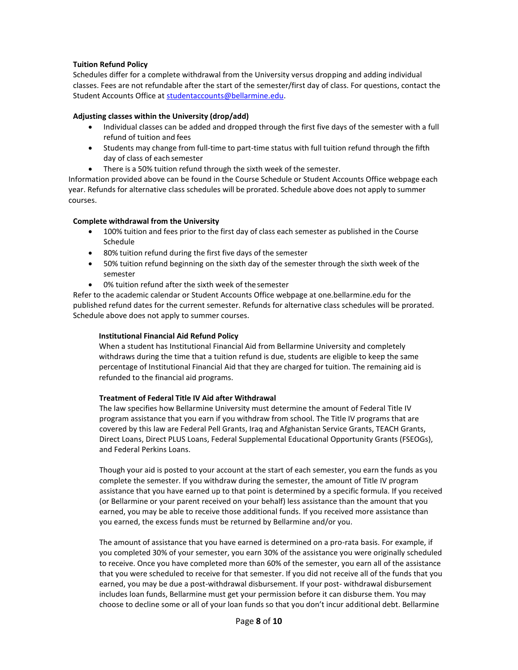#### **Tuition Refund Policy**

Schedules differ for a complete withdrawal from the University versus dropping and adding individual classes. Fees are not refundable after the start of the semester/first day of class. For questions, contact the Student Accounts Office at [studentaccounts@bellarmine.edu.](mailto:bursar@bellarmine.edu)

#### **Adjusting classes within the University (drop/add)**

- Individual classes can be added and dropped through the first five days of the semester with a full refund of tuition and fees
- Students may change from full-time to part-time status with full tuition refund through the fifth day of class of each semester
- There is a 50% tuition refund through the sixth week of the semester.

Information provided above can be found in the Course Schedule or Student Accounts Office webpage each year. Refunds for alternative class schedules will be prorated. Schedule above does not apply to summer courses.

#### **Complete withdrawal from the University**

- 100% tuition and fees prior to the first day of class each semester as published in the Course Schedule
- 80% tuition refund during the first five days of the semester
- 50% tuition refund beginning on the sixth day of the semester through the sixth week of the semester
- 0% tuition refund after the sixth week of the semester

Refer to the academic calendar or Student Accounts Office webpage at one.bellarmine.edu for the published refund dates for the current semester. Refunds for alternative class schedules will be prorated. Schedule above does not apply to summer courses.

#### **Institutional Financial Aid Refund Policy**

When a student has Institutional Financial Aid from Bellarmine University and completely withdraws during the time that a tuition refund is due, students are eligible to keep the same percentage of Institutional Financial Aid that they are charged for tuition. The remaining aid is refunded to the financial aid programs.

#### **Treatment of Federal Title IV Aid after Withdrawal**

The law specifies how Bellarmine University must determine the amount of Federal Title IV program assistance that you earn if you withdraw from school. The Title IV programs that are covered by this law are Federal Pell Grants, Iraq and Afghanistan Service Grants, TEACH Grants, Direct Loans, Direct PLUS Loans, Federal Supplemental Educational Opportunity Grants (FSEOGs), and Federal Perkins Loans.

Though your aid is posted to your account at the start of each semester, you earn the funds as you complete the semester. If you withdraw during the semester, the amount of Title IV program assistance that you have earned up to that point is determined by a specific formula. If you received (or Bellarmine or your parent received on your behalf) less assistance than the amount that you earned, you may be able to receive those additional funds. If you received more assistance than you earned, the excess funds must be returned by Bellarmine and/or you.

The amount of assistance that you have earned is determined on a pro-rata basis. For example, if you completed 30% of your semester, you earn 30% of the assistance you were originally scheduled to receive. Once you have completed more than 60% of the semester, you earn all of the assistance that you were scheduled to receive for that semester. If you did not receive all of the funds that you earned, you may be due a post-withdrawal disbursement. If your post- withdrawal disbursement includes loan funds, Bellarmine must get your permission before it can disburse them. You may choose to decline some or all of your loan funds so that you don't incur additional debt. Bellarmine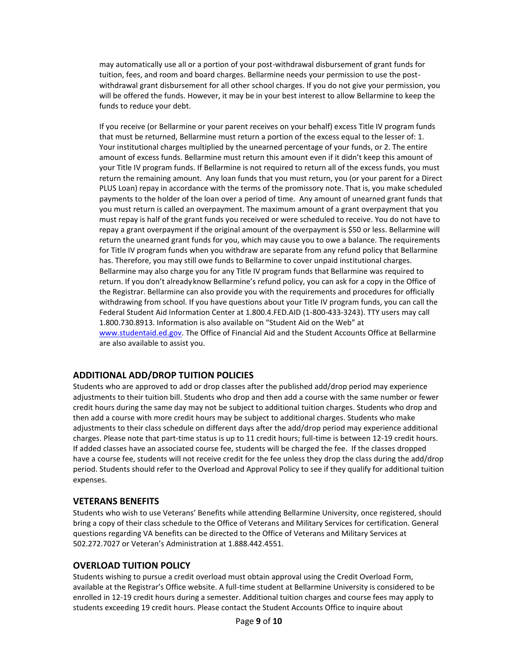may automatically use all or a portion of your post-withdrawal disbursement of grant funds for tuition, fees, and room and board charges. Bellarmine needs your permission to use the postwithdrawal grant disbursement for all other school charges. If you do not give your permission, you will be offered the funds. However, it may be in your best interest to allow Bellarmine to keep the funds to reduce your debt.

If you receive (or Bellarmine or your parent receives on your behalf) excess Title IV program funds that must be returned, Bellarmine must return a portion of the excess equal to the lesser of: 1. Your institutional charges multiplied by the unearned percentage of your funds, or 2. The entire amount of excess funds. Bellarmine must return this amount even if it didn't keep this amount of your Title IV program funds. If Bellarmine is not required to return all of the excess funds, you must return the remaining amount. Any loan funds that you must return, you (or your parent for a Direct PLUS Loan) repay in accordance with the terms of the promissory note. That is, you make scheduled payments to the holder of the loan over a period of time. Any amount of unearned grant funds that you must return is called an overpayment. The maximum amount of a grant overpayment that you must repay is half of the grant funds you received or were scheduled to receive. You do not have to repay a grant overpayment if the original amount of the overpayment is \$50 or less. Bellarmine will return the unearned grant funds for you, which may cause you to owe a balance. The requirements for Title IV program funds when you withdraw are separate from any refund policy that Bellarmine has. Therefore, you may still owe funds to Bellarmine to cover unpaid institutional charges. Bellarmine may also charge you for any Title IV program funds that Bellarmine was required to return. If you don't alreadyknow Bellarmine's refund policy, you can ask for a copy in the Office of the Registrar. Bellarmine can also provide you with the requirements and procedures for officially withdrawing from school. If you have questions about your Title IV program funds, you can call the Federal Student Aid Information Center at 1.800.4.FED.AID (1-800-433-3243). TTY users may call 1.800.730.8913. Information is also available on "Student Aid on the Web" at [www.studentaid.ed.gov.](http://www.studentaid.ed.gov/) The Office of Financial Aid and the Student Accounts Office at Bellarmine are also available to assist you.

# **ADDITIONAL ADD/DROP TUITION POLICIES**

Students who are approved to add or drop classes after the published add/drop period may experience adjustments to their tuition bill. Students who drop and then add a course with the same number or fewer credit hours during the same day may not be subject to additional tuition charges. Students who drop and then add a course with more credit hours may be subject to additional charges. Students who make adjustments to their class schedule on different days after the add/drop period may experience additional charges. Please note that part-time status is up to 11 credit hours; full-time is between 12-19 credit hours. If added classes have an associated course fee, students will be charged the fee. If the classes dropped have a course fee, students will not receive credit for the fee unless they drop the class during the add/drop period. Students should refer to the Overload and Approval Policy to see if they qualify for additional tuition expenses.

# **VETERANS BENEFITS**

Students who wish to use Veterans' Benefits while attending Bellarmine University, once registered, should bring a copy of their class schedule to the Office of Veterans and Military Services for certification. General questions regarding VA benefits can be directed to the Office of Veterans and Military Services at 502.272.7027 or Veteran's Administration at 1.888.442.4551.

# **OVERLOAD TUITION POLICY**

Students wishing to pursue a credit overload must obtain approval using the Credit Overload Form, available at the Registrar's Office website. A full-time student at Bellarmine University is considered to be enrolled in 12-19 credit hours during a semester. Additional tuition charges and course fees may apply to students exceeding 19 credit hours. Please contact the Student Accounts Office to inquire about